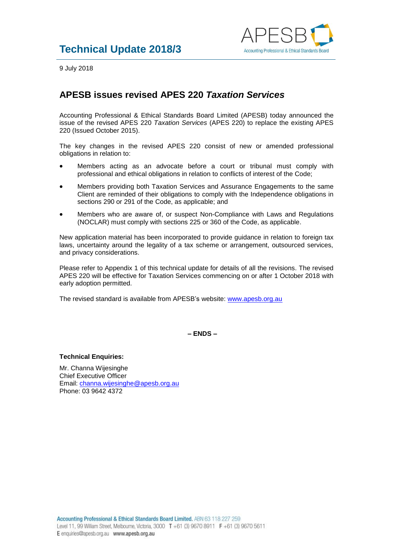

9 July 2018

## **APESB issues revised APES 220** *Taxation Services*

Accounting Professional & Ethical Standards Board Limited (APESB) today announced the issue of the revised APES 220 *Taxation Services* (APES 220) to replace the existing APES 220 (Issued October 2015).

The key changes in the revised APES 220 consist of new or amended professional obligations in relation to:

- Members acting as an advocate before a court or tribunal must comply with professional and ethical obligations in relation to conflicts of interest of the Code;
- Members providing both Taxation Services and Assurance Engagements to the same Client are reminded of their obligations to comply with the Independence obligations in sections 290 or 291 of the Code, as applicable; and
- Members who are aware of, or suspect Non-Compliance with Laws and Regulations (NOCLAR) must comply with sections 225 or 360 of the Code, as applicable.

New application material has been incorporated to provide guidance in relation to foreign tax laws, uncertainty around the legality of a tax scheme or arrangement, outsourced services, and privacy considerations.

Please refer to Appendix 1 of this technical update for details of all the revisions. The revised APES 220 will be effective for Taxation Services commencing on or after 1 October 2018 with early adoption permitted.

The revised standard is available from APESB's website: [www.apesb.org.au](http://www.apesb.org.au/)

**– ENDS –**

**Technical Enquiries:**

Mr. Channa Wijesinghe Chief Executive Officer Email: [channa.wijesinghe@apesb.org.au](mailto:channa.wijesinghe@apesb.org.au) Phone: 03 9642 4372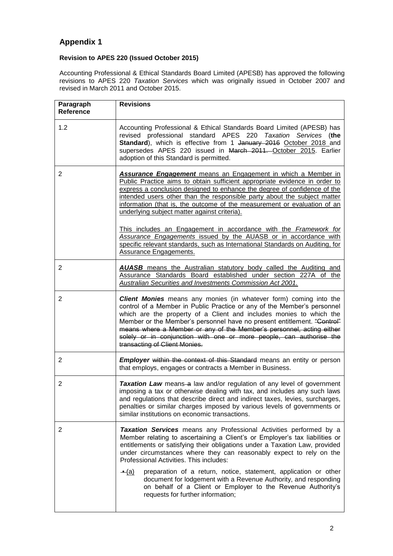## **Appendix 1**

## **Revision to APES 220 (Issued October 2015)**

Accounting Professional & Ethical Standards Board Limited (APESB) has approved the following revisions to APES 220 *Taxation Services* which was originally issued in October 2007 and revised in March 2011 and October 2015.

| Paragraph<br><b>Reference</b> | <b>Revisions</b>                                                                                                                                                                                                                                                                                                                                                                                                                                                                      |
|-------------------------------|---------------------------------------------------------------------------------------------------------------------------------------------------------------------------------------------------------------------------------------------------------------------------------------------------------------------------------------------------------------------------------------------------------------------------------------------------------------------------------------|
| 1.2                           | Accounting Professional & Ethical Standards Board Limited (APESB) has<br>revised professional standard APES 220 Taxation Services (the<br>Standard), which is effective from 1 January 2016 October 2018 and<br>supersedes APES 220 issued in March 2011. October 2015. Earlier<br>adoption of this Standard is permitted.                                                                                                                                                            |
| $\overline{2}$                | <b>Assurance Engagement</b> means an Engagement in which a Member in<br>Public Practice aims to obtain sufficient appropriate evidence in order to<br>express a conclusion designed to enhance the degree of confidence of the<br>intended users other than the responsible party about the subject matter<br>information (that is, the outcome of the measurement or evaluation of an<br>underlying subject matter against criteria).                                                |
|                               | This includes an Engagement in accordance with the Framework for<br>Assurance Engagements issued by the AUASB or in accordance with<br>specific relevant standards, such as International Standards on Auditing, for<br><b>Assurance Engagements.</b>                                                                                                                                                                                                                                 |
| 2                             | <b>AUASB</b> means the Australian statutory body called the Auditing and<br>Assurance Standards Board established under section 227A of the<br>Australian Securities and Investments Commission Act 2001.                                                                                                                                                                                                                                                                             |
| $\overline{2}$                | <b>Client Monies</b> means any monies (in whatever form) coming into the<br>control of a Member in Public Practice or any of the Member's personnel<br>which are the property of a Client and includes monies to which the<br>Member or the Member's personnel have no present entitlement. "Control"<br>means where a Member or any of the Member's personnel, acting either<br>solely or in conjunction with one or more people, can authorise the<br>transacting of Client Monies. |
| $\overline{2}$                | <b>Employer</b> within the context of this Standard means an entity or person<br>that employs, engages or contracts a Member in Business.                                                                                                                                                                                                                                                                                                                                             |
| 2                             | Taxation Law means-a law and/or regulation of any level of government<br>imposing a tax or otherwise dealing with tax, and includes any such laws<br>and regulations that describe direct and indirect taxes, levies, surcharges,<br>penalties or similar charges imposed by various levels of governments or<br>similar institutions on economic transactions.                                                                                                                       |
| 2                             | Taxation Services means any Professional Activities performed by a<br>Member relating to ascertaining a Client's or Employer's tax liabilities or<br>entitlements or satisfying their obligations under a Taxation Law, provided<br>under circumstances where they can reasonably expect to rely on the<br>Professional Activities. This includes:                                                                                                                                    |
|                               | preparation of a return, notice, statement, application or other<br><u> ←(a)</u><br>document for lodgement with a Revenue Authority, and responding<br>on behalf of a Client or Employer to the Revenue Authority's<br>requests for further information;                                                                                                                                                                                                                              |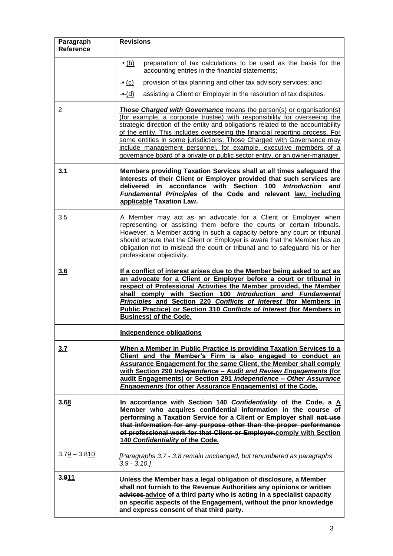| Paragraph<br><b>Reference</b> | <b>Revisions</b>                                                                                                                                                                                                                                                                                                                                                                                                                                                                                                                                          |
|-------------------------------|-----------------------------------------------------------------------------------------------------------------------------------------------------------------------------------------------------------------------------------------------------------------------------------------------------------------------------------------------------------------------------------------------------------------------------------------------------------------------------------------------------------------------------------------------------------|
|                               | $-(b)$<br>preparation of tax calculations to be used as the basis for the<br>accounting entries in the financial statements;                                                                                                                                                                                                                                                                                                                                                                                                                              |
|                               | provision of tax planning and other tax advisory services; and<br>$\bullet$ (c)                                                                                                                                                                                                                                                                                                                                                                                                                                                                           |
|                               | $\triangleq$ (d)<br>assisting a Client or Employer in the resolution of tax disputes.                                                                                                                                                                                                                                                                                                                                                                                                                                                                     |
| 2                             | <b>Those Charged with Governance</b> means the person(s) or organisation(s)<br>(for example, a corporate trustee) with responsibility for overseeing the<br>strategic direction of the entity and obligations related to the accountability<br>of the entity. This includes overseeing the financial reporting process. For<br>some entities in some jurisdictions, Those Charged with Governance may<br>include management personnel, for example, executive members of a<br>governance board of a private or public sector entity, or an owner-manager. |
| 3.1                           | Members providing Taxation Services shall at all times safeguard the<br>interests of their Client or Employer provided that such services are<br>delivered in accordance with Section 100 Introduction<br>and<br>Fundamental Principles of the Code and relevant law, including<br>applicable Taxation Law.                                                                                                                                                                                                                                               |
| 3.5                           | A Member may act as an advocate for a Client or Employer when<br>representing or assisting them before the courts or certain tribunals.<br>However, a Member acting in such a capacity before any court or tribunal<br>should ensure that the Client or Employer is aware that the Member has an<br>obligation not to mislead the court or tribunal and to safeguard his or her<br>professional objectivity.                                                                                                                                              |
| 3.6                           | If a conflict of interest arises due to the Member being asked to act as<br>an advocate for a Client or Employer before a court or tribunal in<br>respect of Professional Activities the Member provided, the Member<br>shall comply with Section 100 Introduction and Fundamental<br>Principles and Section 220 Conflicts of Interest (for Members in<br>Public Practice) or Section 310 Conflicts of Interest (for Members in<br><b>Business) of the Code.</b>                                                                                          |
|                               | Independence obligations                                                                                                                                                                                                                                                                                                                                                                                                                                                                                                                                  |
| 3.7                           | When a Member in Public Practice is providing Taxation Services to a<br>Client and the Member's Firm is also engaged to conduct an<br><b>Assurance Engagement for the same Client, the Member shall comply</b><br>with Section 290 Independence - Audit and Review Engagements (for<br>audit Engagements) or Section 291 Independence - Other Assurance<br><b>Engagements (for other Assurance Engagements) of the Code.</b>                                                                                                                              |
| 3.68                          | In accordance with Section 140 Confidentiality of the Code, a A<br>Member who acquires confidential information in the course of<br>performing a Taxation Service for a Client or Employer shall not use<br>that information for any purpose other than the proper performance<br>of professional work for that Client or Employer comply with Section<br>140 Confidentiality of the Code.                                                                                                                                                                |
| $3.79 - 3.810$                | [Paragraphs 3.7 - 3.8 remain unchanged, but renumbered as paragraphs<br>$3.9 - 3.10.1$                                                                                                                                                                                                                                                                                                                                                                                                                                                                    |
| 3.911                         | Unless the Member has a legal obligation of disclosure, a Member<br>shall not furnish to the Revenue Authorities any opinions or written<br>advices-advice of a third party who is acting in a specialist capacity<br>on specific aspects of the Engagement, without the prior knowledge<br>and express consent of that third party.                                                                                                                                                                                                                      |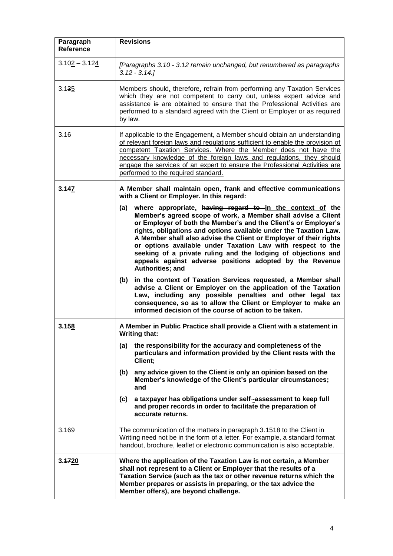| Paragraph<br><b>Reference</b> | <b>Revisions</b>                                                                                                                                                                                                                                                                                                                                                                                                                                                                                                                                               |
|-------------------------------|----------------------------------------------------------------------------------------------------------------------------------------------------------------------------------------------------------------------------------------------------------------------------------------------------------------------------------------------------------------------------------------------------------------------------------------------------------------------------------------------------------------------------------------------------------------|
| $3.102 - 3.124$               | [Paragraphs 3.10 - 3.12 remain unchanged, but renumbered as paragraphs<br>$3.12 - 3.14$ .                                                                                                                                                                                                                                                                                                                                                                                                                                                                      |
| 3.135                         | Members should, therefore, refrain from performing any Taxation Services<br>which they are not competent to carry out, unless expert advice and<br>assistance is are obtained to ensure that the Professional Activities are<br>performed to a standard agreed with the Client or Employer or as required<br>by law.                                                                                                                                                                                                                                           |
| 3.16                          | If applicable to the Engagement, a Member should obtain an understanding<br>of relevant foreign laws and regulations sufficient to enable the provision of<br>competent Taxation Services. Where the Member does not have the<br>necessary knowledge of the foreign laws and regulations, they should<br>engage the services of an expert to ensure the Professional Activities are<br>performed to the required standard.                                                                                                                                     |
| 3.147                         | A Member shall maintain open, frank and effective communications<br>with a Client or Employer. In this regard:                                                                                                                                                                                                                                                                                                                                                                                                                                                 |
|                               | where appropriate, having regard to in the context of the<br>(a)<br>Member's agreed scope of work, a Member shall advise a Client<br>or Employer of both the Member's and the Client's or Employer's<br>rights, obligations and options available under the Taxation Law.<br>A Member shall also advise the Client or Employer of their rights<br>or options available under Taxation Law with respect to the<br>seeking of a private ruling and the lodging of objections and<br>appeals against adverse positions adopted by the Revenue<br>Authorities; and |
|                               | in the context of Taxation Services requested, a Member shall<br>(b)<br>advise a Client or Employer on the application of the Taxation<br>Law, including any possible penalties and other legal tax<br>consequence, so as to allow the Client or Employer to make an<br>informed decision of the course of action to be taken.                                                                                                                                                                                                                                 |
| 3.158                         | A Member in Public Practice shall provide a Client with a statement in<br>Writing that:                                                                                                                                                                                                                                                                                                                                                                                                                                                                        |
|                               | the responsibility for the accuracy and completeness of the<br>(a)<br>particulars and information provided by the Client rests with the<br>Client;                                                                                                                                                                                                                                                                                                                                                                                                             |
|                               | any advice given to the Client is only an opinion based on the<br>(b)<br>Member's knowledge of the Client's particular circumstances;<br>and                                                                                                                                                                                                                                                                                                                                                                                                                   |
|                               | a taxpayer has obligations under self-assessment to keep full<br>(c)<br>and proper records in order to facilitate the preparation of<br>accurate returns.                                                                                                                                                                                                                                                                                                                                                                                                      |
| 3.169                         | The communication of the matters in paragraph 3.4518 to the Client in<br>Writing need not be in the form of a letter. For example, a standard format<br>handout, brochure, leaflet or electronic communication is also acceptable.                                                                                                                                                                                                                                                                                                                             |
| 3.1720                        | Where the application of the Taxation Law is not certain, a Member<br>shall not represent to a Client or Employer that the results of a<br>Taxation Service (such as the tax or other revenue returns which the<br>Member prepares or assists in preparing, or the tax advice the<br>Member offers), are beyond challenge.                                                                                                                                                                                                                                     |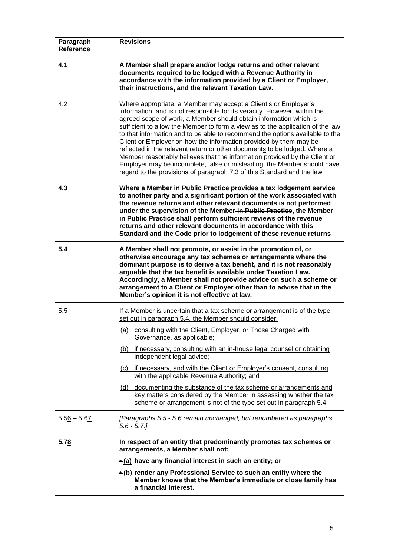| Paragraph<br><b>Reference</b> | <b>Revisions</b>                                                                                                                                                                                                                                                                                                                                                                                                                                                                                                                                                                                                                                                                                                                                                        |
|-------------------------------|-------------------------------------------------------------------------------------------------------------------------------------------------------------------------------------------------------------------------------------------------------------------------------------------------------------------------------------------------------------------------------------------------------------------------------------------------------------------------------------------------------------------------------------------------------------------------------------------------------------------------------------------------------------------------------------------------------------------------------------------------------------------------|
| 4.1                           | A Member shall prepare and/or lodge returns and other relevant<br>documents required to be lodged with a Revenue Authority in<br>accordance with the information provided by a Client or Employer,<br>their instructions, and the relevant Taxation Law.                                                                                                                                                                                                                                                                                                                                                                                                                                                                                                                |
| 4.2                           | Where appropriate, a Member may accept a Client's or Employer's<br>information, and is not responsible for its veracity. However, within the<br>agreed scope of work, a Member should obtain information which is<br>sufficient to allow the Member to form a view as to the application of the law<br>to that information and to be able to recommend the options available to the<br>Client or Employer on how the information provided by them may be<br>reflected in the relevant return or other documents to be lodged. Where a<br>Member reasonably believes that the information provided by the Client or<br>Employer may be incomplete, false or misleading, the Member should have<br>regard to the provisions of paragraph 7.3 of this Standard and the law |
| 4.3                           | Where a Member in Public Practice provides a tax lodgement service<br>to another party and a significant portion of the work associated with<br>the revenue returns and other relevant documents is not performed<br>under the supervision of the Member in Public Practice, the Member<br>in Public Practice shall perform sufficient reviews of the revenue<br>returns and other relevant documents in accordance with this<br>Standard and the Code prior to lodgement of these revenue returns                                                                                                                                                                                                                                                                      |
| 5.4                           | A Member shall not promote, or assist in the promotion of, or<br>otherwise encourage any tax schemes or arrangements where the<br>dominant purpose is to derive a tax benefit, and it is not reasonably<br>arguable that the tax benefit is available under Taxation Law.<br>Accordingly, a Member shall not provide advice on such a scheme or<br>arrangement to a Client or Employer other than to advise that in the<br>Member's opinion it is not effective at law.                                                                                                                                                                                                                                                                                                 |
| 5.5                           | If a Member is uncertain that a tax scheme or arrangement is of the type<br>set out in paragraph 5.4, the Member should consider:<br>(a) consulting with the Client, Employer, or Those Charged with<br>Governance, as applicable;<br>(b) if necessary, consulting with an in-house legal counsel or obtaining<br>independent legal advice;<br>(c) if necessary, and with the Client or Employer's consent, consulting<br>with the applicable Revenue Authority; and<br>(d) documenting the substance of the tax scheme or arrangements and<br>key matters considered by the Member in assessing whether the tax<br>scheme or arrangement is not of the type set out in paragraph 5.4.                                                                                  |
| $5.56 - 5.67$                 | [Paragraphs 5.5 - 5.6 remain unchanged, but renumbered as paragraphs<br>$5.6 - 5.7$ .                                                                                                                                                                                                                                                                                                                                                                                                                                                                                                                                                                                                                                                                                   |
| 5.78                          | In respect of an entity that predominantly promotes tax schemes or<br>arrangements, a Member shall not:                                                                                                                                                                                                                                                                                                                                                                                                                                                                                                                                                                                                                                                                 |
|                               | -(a) have any financial interest in such an entity; or                                                                                                                                                                                                                                                                                                                                                                                                                                                                                                                                                                                                                                                                                                                  |
|                               | $\triangle$ (b) render any Professional Service to such an entity where the<br>Member knows that the Member's immediate or close family has<br>a financial interest.                                                                                                                                                                                                                                                                                                                                                                                                                                                                                                                                                                                                    |